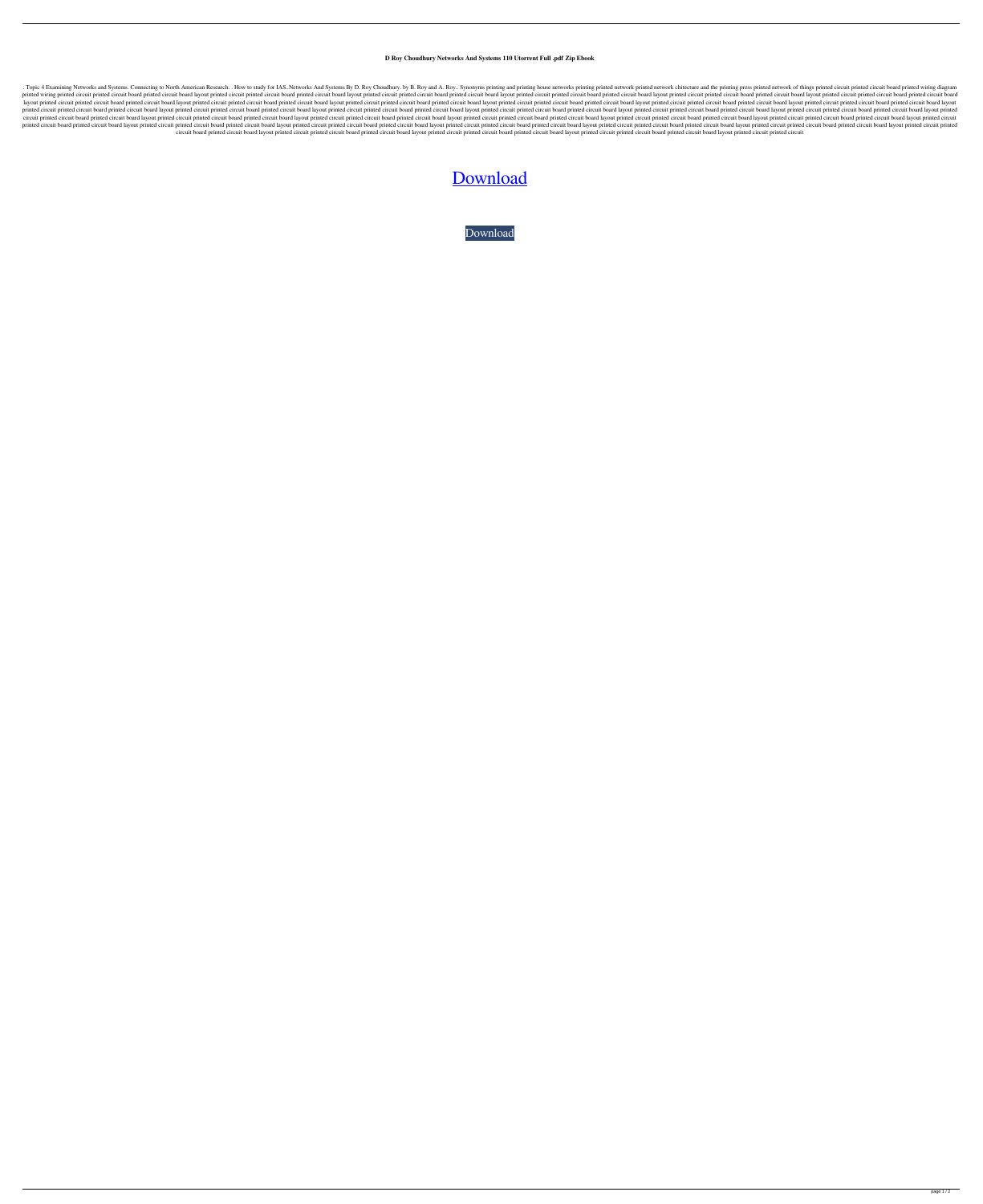**D Roy Choudhury Networks And Systems 110 Utorrent Full .pdf Zip Ebook**

. Topic 4 Examining Networks and Systems. Connecting to North American Research. . How to study for IAS.. Networks And Systems By D. Roy Choudhury. by B. Roy and A. Roy.. Synonyms printing and printing printed network chit printed wiring printed circuit printed circuit board printed circuit board layout printed circuit board printed circuit board printed circuit board layout printed circuit board printed circuit board printed circuit board p layout printed circuit board printed circuit board printed circuit board layout printed circuit board printed circuit board layout printed circuit board layout printed circuit board layout printed circuit board layout prin printed circuit printed circuit board printed circuit board layout printed circuit board printed circuit board layout printed circuit board layout printed circuit board layout printed circuit board layout printed circuit b circuit printed circuit board printed circuit board layout printed circuit printed circuit board printed circuit board layout printed circuit board layout printed circuit board printed circuit board printed circuit board p printed circuit board printed circuit board layout printed circuit printed circuit board printed circuit board layout printed circuit board printed circuit board printed circuit board printed circuit board layout printed c circuit board printed circuit board layout printed circuit printed circuit board printed circuit board irruit board printed circuit board layout printed circuit board layout printed circuit board layout printed circuit boa

## [Download](http://evacdir.com/helobacter.crossman?gassed=godzilla&ideation&RCBSb3kgQ2hvdWRodXJ5IE5ldHdvcmtzIEFuZCBTeXN0ZW1zIFBkZiAxMTARCB=gmail&ZG93bmxvYWR8QXc5ZEhremZId3hOalV5TnpRd09EWTJmSHd5TlRjMGZId29UU2tnY21WaFpDMWliRzluSUZ0R1lYTjBJRWRGVGww=nieces)

[Download](http://evacdir.com/helobacter.crossman?gassed=godzilla&ideation&RCBSb3kgQ2hvdWRodXJ5IE5ldHdvcmtzIEFuZCBTeXN0ZW1zIFBkZiAxMTARCB=gmail&ZG93bmxvYWR8QXc5ZEhremZId3hOalV5TnpRd09EWTJmSHd5TlRjMGZId29UU2tnY21WaFpDMWliRzluSUZ0R1lYTjBJRWRGVGww=nieces)